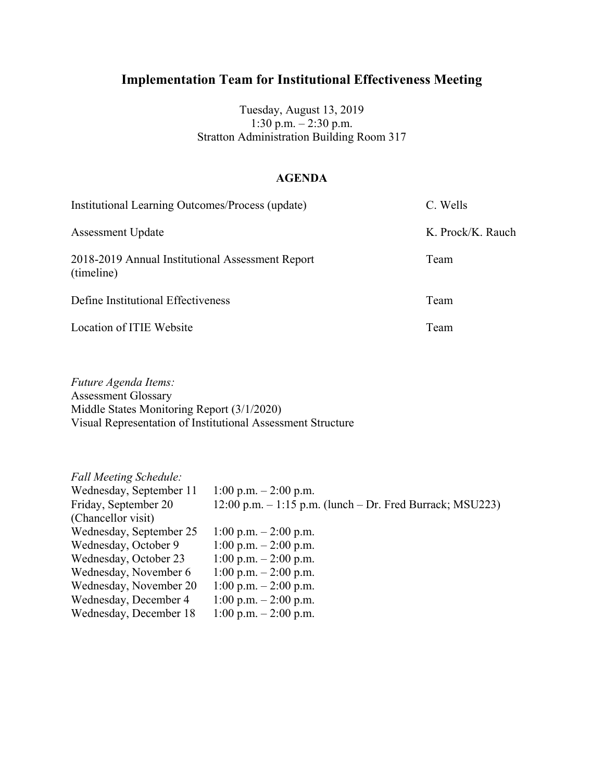Tuesday, August 13, 2019  $1:30 \text{ p.m.} - 2:30 \text{ p.m.}$ Stratton Administration Building Room 317

#### **AGENDA**

| Institutional Learning Outcomes/Process (update)               | C. Wells          |
|----------------------------------------------------------------|-------------------|
| <b>Assessment Update</b>                                       | K. Prock/K. Rauch |
| 2018-2019 Annual Institutional Assessment Report<br>(timeline) | Team              |
| Define Institutional Effectiveness                             | Team              |
| Location of ITIE Website                                       | Team              |

*Future Agenda Items:* Assessment Glossary Middle States Monitoring Report (3/1/2020) Visual Representation of Institutional Assessment Structure

| <b>Fall Meeting Schedule:</b> |                                                                |
|-------------------------------|----------------------------------------------------------------|
| Wednesday, September 11       | 1:00 p.m. $- 2:00$ p.m.                                        |
| Friday, September 20          | $12:00$ p.m. $-1:15$ p.m. (lunch $-$ Dr. Fred Burrack; MSU223) |
| (Chancellor visit)            |                                                                |
| Wednesday, September 25       | 1:00 p.m. $- 2:00$ p.m.                                        |
| Wednesday, October 9          | 1:00 p.m. $- 2:00$ p.m.                                        |
| Wednesday, October 23         | 1:00 p.m. $- 2:00$ p.m.                                        |
| Wednesday, November 6         | 1:00 p.m. $- 2:00$ p.m.                                        |
| Wednesday, November 20        | 1:00 p.m. $- 2:00$ p.m.                                        |
| Wednesday, December 4         | 1:00 p.m. $- 2:00$ p.m.                                        |
| Wednesday, December 18        | 1:00 p.m. $- 2:00$ p.m.                                        |
|                               |                                                                |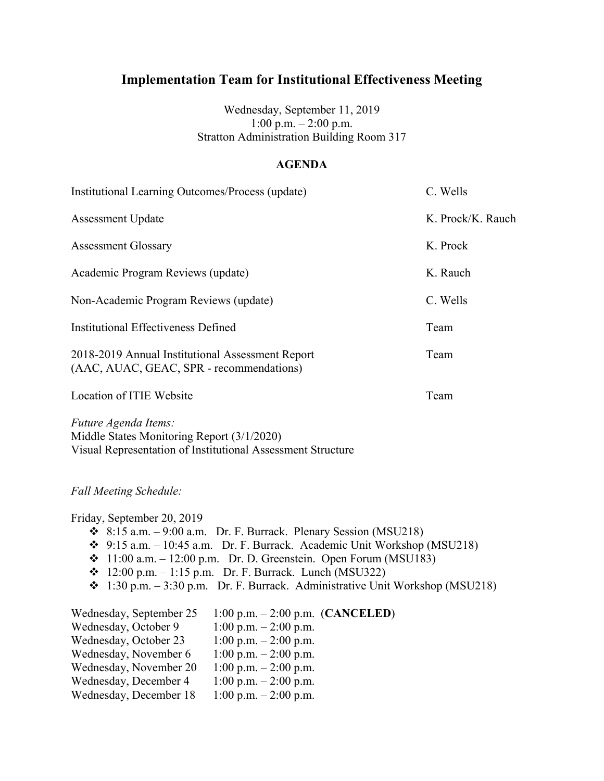Wednesday, September 11, 2019 1:00 p.m.  $- 2:00$  p.m. Stratton Administration Building Room 317

#### **AGENDA**

| Institutional Learning Outcomes/Process (update)                                             | C. Wells          |
|----------------------------------------------------------------------------------------------|-------------------|
| <b>Assessment Update</b>                                                                     | K. Prock/K. Rauch |
| <b>Assessment Glossary</b>                                                                   | K. Prock          |
| Academic Program Reviews (update)                                                            | K. Rauch          |
| Non-Academic Program Reviews (update)                                                        | C. Wells          |
| <b>Institutional Effectiveness Defined</b>                                                   | Team              |
| 2018-2019 Annual Institutional Assessment Report<br>(AAC, AUAC, GEAC, SPR - recommendations) | Team              |
| Location of ITIE Website                                                                     | Team              |
| Future Agenda Items:                                                                         |                   |

*Future Agenda Items:* Middle States Monitoring Report (3/1/2020) Visual Representation of Institutional Assessment Structure

*Fall Meeting Schedule:*

Friday, September 20, 2019  $\div$  8:15 a.m. – 9:00 a.m. Dr. F. Burrack. Plenary Session (MSU218)  $\div$  9:15 a.m. – 10:45 a.m. Dr. F. Burrack. Academic Unit Workshop (MSU218)  $\div$  11:00 a.m. – 12:00 p.m. Dr. D. Greenstein. Open Forum (MSU183)  $\div$  12:00 p.m. – 1:15 p.m. Dr. F. Burrack. Lunch (MSU322)  $\div$  1:30 p.m. – 3:30 p.m. Dr. F. Burrack. Administrative Unit Workshop (MSU218) Wednesday, September 25 1:00 p.m. – 2:00 p.m. (**CANCELED**) Wednesday, October 9 1:00 p.m. – 2:00 p.m.<br>Wednesday, October 23 1:00 p.m. – 2:00 p.m. Wednesday, October 23 Wednesday, November 6 1:00 p.m. - 2:00 p.m. Wednesday, November 20  $1:00 \text{ p.m.} - 2:00 \text{ p.m.}$ <br>Wednesday, December 4  $1:00 \text{ p.m.} - 2:00 \text{ p.m.}$ Wednesday, December 4 Wednesday, December  $18 \quad 1:00 \text{ p.m.} - 2:00 \text{ p.m.}$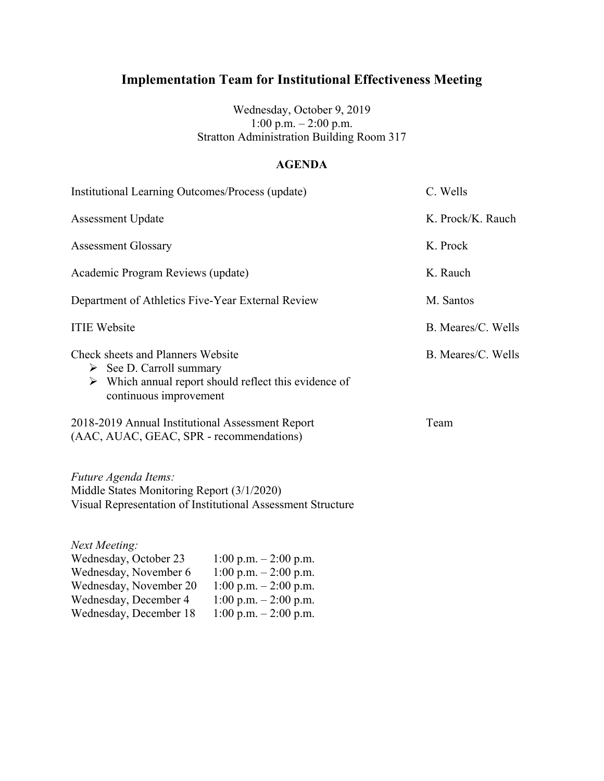Wednesday, October 9, 2019 1:00 p.m. – 2:00 p.m. Stratton Administration Building Room 317

### **AGENDA**

| Institutional Learning Outcomes/Process (update)                                                                                             |                                                                                                                                         | C. Wells           |
|----------------------------------------------------------------------------------------------------------------------------------------------|-----------------------------------------------------------------------------------------------------------------------------------------|--------------------|
| <b>Assessment Update</b>                                                                                                                     |                                                                                                                                         | K. Prock/K. Rauch  |
| <b>Assessment Glossary</b>                                                                                                                   |                                                                                                                                         | K. Prock           |
| Academic Program Reviews (update)                                                                                                            |                                                                                                                                         | K. Rauch           |
| Department of Athletics Five-Year External Review                                                                                            |                                                                                                                                         | M. Santos          |
| <b>ITIE Website</b>                                                                                                                          |                                                                                                                                         | B. Meares/C. Wells |
| <b>Check sheets and Planners Website</b><br>$\triangleright$ See D. Carroll summary<br>continuous improvement                                | $\triangleright$ Which annual report should reflect this evidence of                                                                    | B. Meares/C. Wells |
| 2018-2019 Annual Institutional Assessment Report<br>(AAC, AUAC, GEAC, SPR - recommendations)                                                 |                                                                                                                                         | Team               |
| Future Agenda Items:<br>Middle States Monitoring Report (3/1/2020)                                                                           | Visual Representation of Institutional Assessment Structure                                                                             |                    |
| Next Meeting:<br>Wednesday, October 23<br>Wednesday, November 6<br>Wednesday, November 20<br>Wednesday, December 4<br>Wednesday, December 18 | $1:00$ p.m. $-2:00$ p.m.<br>1:00 p.m. $- 2:00$ p.m.<br>$1:00$ p.m. $-2:00$ p.m.<br>$1:00$ p.m. $-2:00$ p.m.<br>$1:00$ p.m. $-2:00$ p.m. |                    |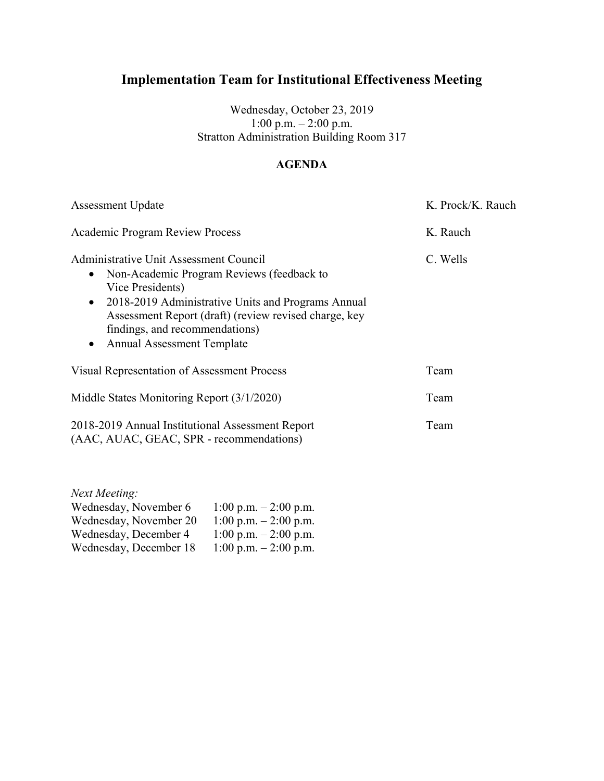Wednesday, October 23, 2019 1:00 p.m. – 2:00 p.m. Stratton Administration Building Room 317

## **AGENDA**

| <b>Assessment Update</b>                                                                                                                                                                                                                                                                                       | K. Prock/K. Rauch |
|----------------------------------------------------------------------------------------------------------------------------------------------------------------------------------------------------------------------------------------------------------------------------------------------------------------|-------------------|
| <b>Academic Program Review Process</b>                                                                                                                                                                                                                                                                         | K. Rauch          |
| <b>Administrative Unit Assessment Council</b><br>Non-Academic Program Reviews (feedback to<br>$\bullet$<br>Vice Presidents)<br>• 2018-2019 Administrative Units and Programs Annual<br>Assessment Report (draft) (review revised charge, key<br>findings, and recommendations)<br>• Annual Assessment Template | C. Wells          |
| <b>Visual Representation of Assessment Process</b>                                                                                                                                                                                                                                                             | Team              |
| Middle States Monitoring Report (3/1/2020)                                                                                                                                                                                                                                                                     | Team              |
| 2018-2019 Annual Institutional Assessment Report<br>(AAC, AUAC, GEAC, SPR - recommendations)                                                                                                                                                                                                                   | Team              |

| Next Meeting:          |                         |
|------------------------|-------------------------|
| Wednesday, November 6  | 1:00 p.m. $-2:00$ p.m.  |
| Wednesday, November 20 | 1:00 p.m. $-$ 2:00 p.m. |
| Wednesday, December 4  | 1:00 p.m. $-$ 2:00 p.m. |
| Wednesday, December 18 | 1:00 p.m. $- 2:00$ p.m. |
|                        |                         |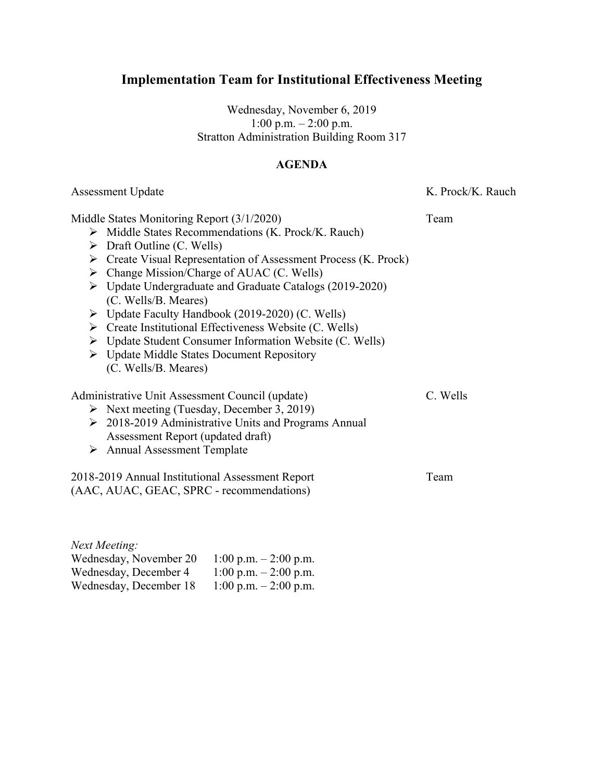Wednesday, November 6, 2019 1:00 p.m.  $- 2:00$  p.m. Stratton Administration Building Room 317

#### **AGENDA**

Assessment Update K. Prock/K. Rauch

Middle States Monitoring Report (3/1/2020) Team

- $\triangleright$  Middle States Recommendations (K. Prock/K. Rauch)
- $\triangleright$  Draft Outline (C. Wells)
- $\triangleright$  Create Visual Representation of Assessment Process (K. Prock)
- $\triangleright$  Change Mission/Charge of AUAC (C. Wells)
- Update Undergraduate and Graduate Catalogs (2019-2020) (C. Wells/B. Meares)
- $\triangleright$  Update Faculty Handbook (2019-2020) (C. Wells)
- $\triangleright$  Create Institutional Effectiveness Website (C. Wells)
- Update Student Consumer Information Website (C. Wells)
- Update Middle States Document Repository (C. Wells/B. Meares)

Administrative Unit Assessment Council (update) C. Wells

- $\triangleright$  Next meeting (Tuesday, December 3, 2019)
- 2018-2019 Administrative Units and Programs Annual Assessment Report (updated draft)
- Annual Assessment Template

2018-2019 Annual Institutional Assessment Report Team (AAC, AUAC, GEAC, SPRC - recommendations)

*Next Meeting:* Wednesday, November 20  $1:00 \text{ p.m.} - 2:00 \text{ p.m.}$ Wednesday, December 4  $1:00 \text{ p.m.} - 2:00 \text{ p.m.}$ Wednesday, December 18 1:00 p.m. – 2:00 p.m.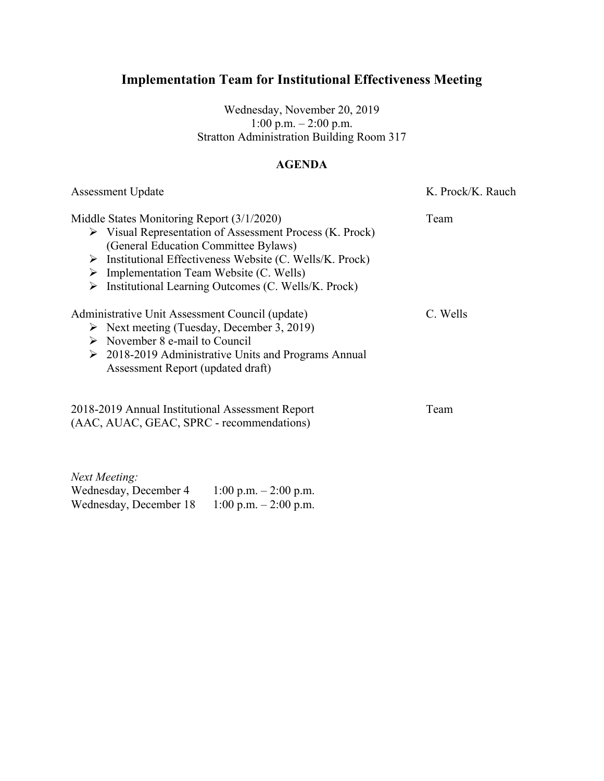Wednesday, November 20, 2019 1:00 p.m. – 2:00 p.m. Stratton Administration Building Room 317

### **AGENDA**

| <b>Assessment Update</b>                                                                                                                                                                                                                                                                                                                             | K. Prock/K. Rauch |
|------------------------------------------------------------------------------------------------------------------------------------------------------------------------------------------------------------------------------------------------------------------------------------------------------------------------------------------------------|-------------------|
| Middle States Monitoring Report (3/1/2020)<br>$\triangleright$ Visual Representation of Assessment Process (K. Prock)<br>(General Education Committee Bylaws)<br>Institutional Effectiveness Website (C. Wells/K. Prock)<br>➤<br>$\triangleright$ Implementation Team Website (C. Wells)<br>Institutional Learning Outcomes (C. Wells/K. Prock)<br>➤ | Team              |
| Administrative Unit Assessment Council (update)<br>$\triangleright$ Next meeting (Tuesday, December 3, 2019)<br>$\triangleright$ November 8 e-mail to Council<br>$\geq 2018-2019$ Administrative Units and Programs Annual<br>Assessment Report (updated draft)                                                                                      | C. Wells          |
| 2018-2019 Annual Institutional Assessment Report<br>(AAC, AUAC, GEAC, SPRC - recommendations)                                                                                                                                                                                                                                                        | Team              |

*Next Meeting:* Wednesday, December 4  $1:00$  p.m.  $- 2:00$  p.m.<br>Wednesday, December 18  $1:00$  p.m.  $- 2:00$  p.m. Wednesday, December 18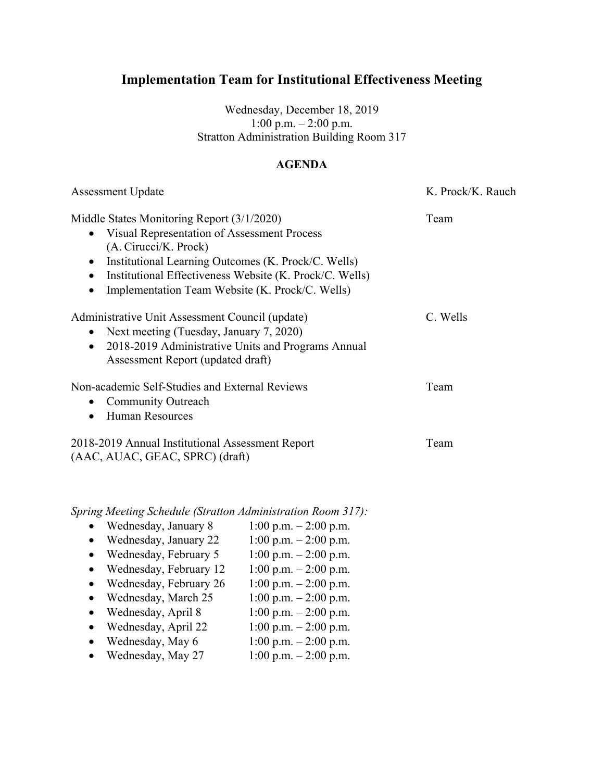Wednesday, December 18, 2019 1:00 p.m.  $- 2:00$  p.m. Stratton Administration Building Room 317

#### **AGENDA**

| <b>Assessment Update</b>                                                                                                                                                                                                                                                                               | K. Prock/K. Rauch |
|--------------------------------------------------------------------------------------------------------------------------------------------------------------------------------------------------------------------------------------------------------------------------------------------------------|-------------------|
| Middle States Monitoring Report (3/1/2020)<br>• Visual Representation of Assessment Process<br>(A. Cirucci/K. Prock)<br>Institutional Learning Outcomes (K. Prock/C. Wells)<br>$\bullet$<br>Institutional Effectiveness Website (K. Prock/C. Wells)<br>Implementation Team Website (K. Prock/C. Wells) | Team              |
| Administrative Unit Assessment Council (update)<br>Next meeting (Tuesday, January 7, 2020)<br>$\bullet$<br>2018-2019 Administrative Units and Programs Annual<br>$\bullet$<br>Assessment Report (updated draft)                                                                                        | C. Wells          |
| Non-academic Self-Studies and External Reviews<br><b>Community Outreach</b><br>$\bullet$<br><b>Human Resources</b><br>$\bullet$                                                                                                                                                                        | Team              |
| 2018-2019 Annual Institutional Assessment Report<br>(AAC, AUAC, GEAC, SPRC) (draft)                                                                                                                                                                                                                    | Team              |

- Wednesday, January 8  $1:00 \text{ p.m.} 2:00 \text{ p.m.}$
- Wednesday, January 22  $1:00 \text{ p.m.} 2:00 \text{ p.m.}$ <br>• Wednesday, February 5  $1:00 \text{ p.m.} 2:00 \text{ p.m.}$ • Wednesday, February 5
- 
- Wednesday, February 12  $1:00 \text{ p.m.} 2:00 \text{ p.m.}$ <br>• Wednesday, February 26  $1:00 \text{ p.m.} 2:00 \text{ p.m.}$ • Wednesday, February 26
- Wednesday, March  $25$  1:00 p.m. 2:00 p.m.
- Wednesday, April 8  $1:00 \text{ p.m.} 2:00 \text{ p.m.}$
- 
- Wednesday, April 22  $1:00 \text{ p.m.} 2:00 \text{ p.m.}$
- Wednesday, May 6  $1:00 \text{ p.m.} 2:00 \text{ p.m.}$
- Wednesday, May 27  $1:00 \text{ p.m.} 2:00 \text{ p.m.}$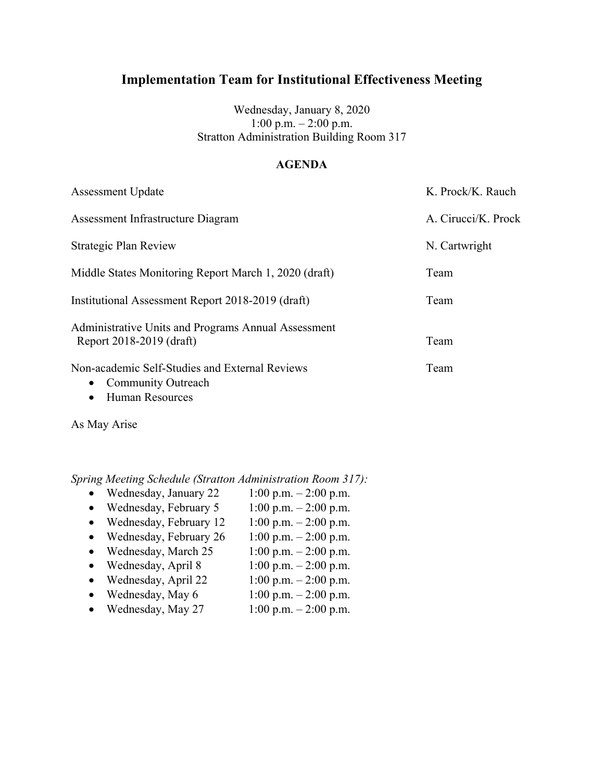Wednesday, January 8, 2020 1:00 p.m.  $- 2:00$  p.m. Stratton Administration Building Room 317

#### **AGENDA**

| <b>Assessment Update</b>                                                                                                        | K. Prock/K. Rauch   |
|---------------------------------------------------------------------------------------------------------------------------------|---------------------|
| Assessment Infrastructure Diagram                                                                                               | A. Cirucci/K. Prock |
| Strategic Plan Review                                                                                                           | N. Cartwright       |
| Middle States Monitoring Report March 1, 2020 (draft)                                                                           | Team                |
| Institutional Assessment Report 2018-2019 (draft)                                                                               | Team                |
| Administrative Units and Programs Annual Assessment<br>Report 2018-2019 (draft)                                                 | Team                |
| Non-academic Self-Studies and External Reviews<br><b>Community Outreach</b><br>$\bullet$<br><b>Human Resources</b><br>$\bullet$ | Team                |

As May Arise

- Wednesday, January 22  $1:00 \text{ p.m.} 2:00 \text{ p.m.}$
- Wednesday, February 5  $1:00 \text{ p.m.} 2:00 \text{ p.m.}$
- Wednesday, February 12  $1:00 \text{ p.m.} 2:00 \text{ p.m.}$
- Wednesday, February 26  $1:00 \text{ p.m.} 2:00 \text{ p.m.}$
- 
- Wednesday, March 25  $1:00 \text{ p.m.} 2:00 \text{ p.m.}$ <br>• Wednesday, April 8  $1:00 \text{ p.m.} 2:00 \text{ p.m.}$ • Wednesday, April 8
- Wednesday, April 22  $1:00 \text{ p.m.} 2:00 \text{ p.m.}$
- Wednesday, May  $6 \t 1:00 \t p.m. 2:00 \t p.m.$
- Wednesday, May 27  $1:00 \text{ p.m.} 2:00 \text{ p.m.}$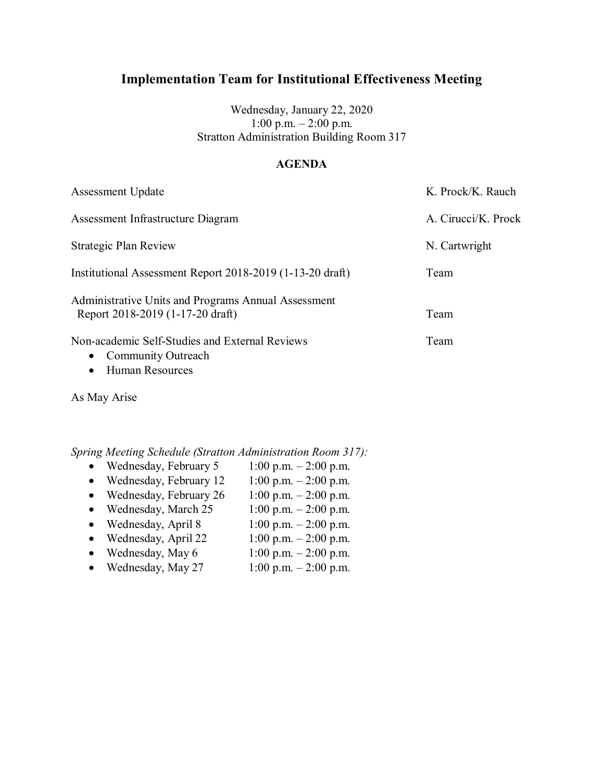Wednesday, January 22, 2020 1:00 p.m.  $-2:00$  p.m. Stratton Administration Building Room 317

#### **AGENDA**

| <b>Assessment Update</b>                                                                                 | K. Prock/K. Rauch   |
|----------------------------------------------------------------------------------------------------------|---------------------|
| Assessment Infrastructure Diagram                                                                        | A. Cirucci/K. Prock |
| Strategic Plan Review                                                                                    | N. Cartwright       |
| Institutional Assessment Report 2018-2019 (1-13-20 draft)                                                | Team                |
| Administrative Units and Programs Annual Assessment<br>Report 2018-2019 (1-17-20 draft)                  | Team                |
| Non-academic Self-Studies and External Reviews<br>• Community Outreach<br>$\blacksquare$ Luman Dagayraag | Team                |

• Human Resources

As May Arise

- Wednesday, February 5  $1:00 \text{ p.m.} 2:00 \text{ p.m.}$
- Wednesday, February 12  $1:00 \text{ p.m.} 2:00 \text{ p.m.}$
- Wednesday, February 26  $1:00 \text{ p.m.} 2:00 \text{ p.m.}$
- Wednesday, March  $25$  1:00 p.m.  $2:00$  p.m.
- Wednesday, April 8  $1:00 \text{ p.m.} 2:00 \text{ p.m.}$
- Wednesday, April 22  $1:00 \text{ p.m.} 2:00 \text{ p.m.}$
- Wednesday, May  $6 \t 1:00 \t p.m. 2:00 \t p.m.$
- Wednesday, May 27  $1:00 \text{ p.m.} 2:00 \text{ p.m.}$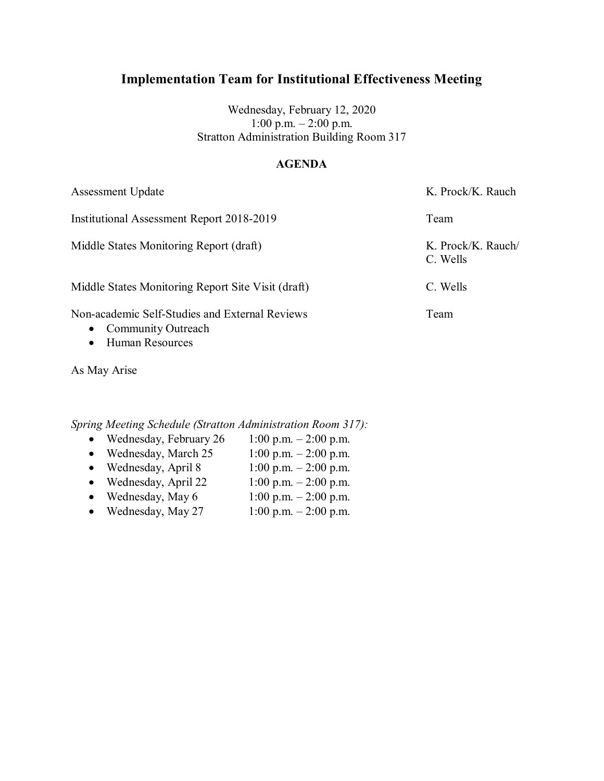Wednesday, February 12, 2020 1:00 p.m.  $-2:00$  p.m. Stratton Administration Building Room 317

### **AGENDA**

Assessment Update K. Prock/K. Rauch Institutional Assessment Report 2018-2019 Team Middle States Monitoring Report (draft) K. Prock/K. Rauch/ C. Wells Middle States Monitoring Report Site Visit (draft) C. Wells Non-academic Self-Studies and External Reviews Team • Community Outreach

• Human Resources

As May Arise

- Wednesday, February 26  $1:00 \text{ p.m.} 2:00 \text{ p.m.}$
- Wednesday, March  $25$  1:00 p.m. 2:00 p.m.
- Wednesday, April 8  $1:00 \text{ p.m.} 2:00 \text{ p.m.}$
- Wednesday, April 22  $1:00 \text{ p.m.} 2:00 \text{ p.m.}$
- Wednesday, May  $6$  1:00 p.m. 2:00 p.m.
- Wednesday, May 27  $1:00 \text{ p.m.} 2:00 \text{ p.m.}$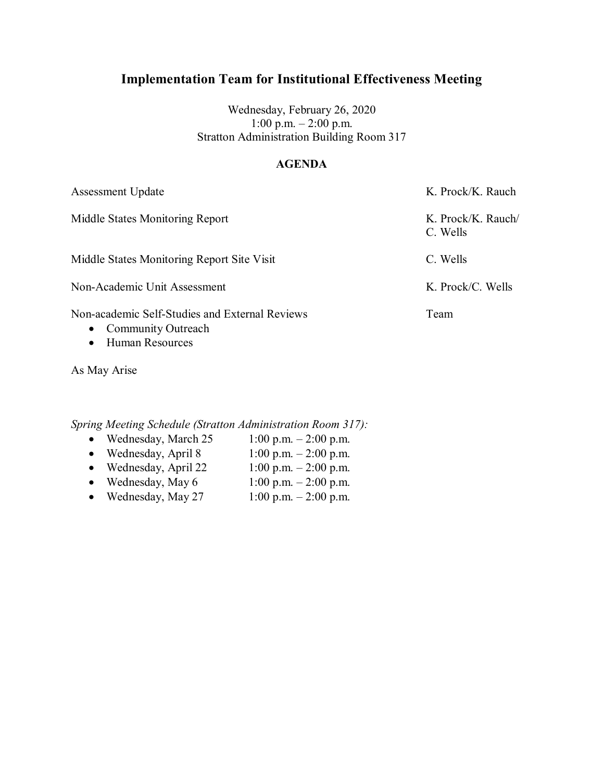Wednesday, February 26, 2020 1:00 p.m. – 2:00 p.m. Stratton Administration Building Room 317

### **AGENDA**

| <b>Assessment Update</b>                                                                    | K. Prock/K. Rauch              |
|---------------------------------------------------------------------------------------------|--------------------------------|
| Middle States Monitoring Report                                                             | K. Prock/K. Rauch/<br>C. Wells |
| Middle States Monitoring Report Site Visit                                                  | C. Wells                       |
| Non-Academic Unit Assessment                                                                | K. Prock/C. Wells              |
| Non-academic Self-Studies and External Reviews<br>• Community Outreach<br>• Human Resources | Team                           |

As May Arise

- 
- Wednesday, March 25  $1:00 \text{ p.m.} 2:00 \text{ p.m.}$ <br>• Wednesday, April 8  $1:00 \text{ p.m.} 2:00 \text{ p.m.}$  $\bullet$  Wednesday, April 8
- Wednesday, April 22  $1:00 \text{ p.m.} 2:00 \text{ p.m.}$
- Wednesday, May  $6 \t 1:00 \t p.m. 2:00 \t p.m.$
- Wednesday, May 27  $1:00 \text{ p.m.} 2:00 \text{ p.m.}$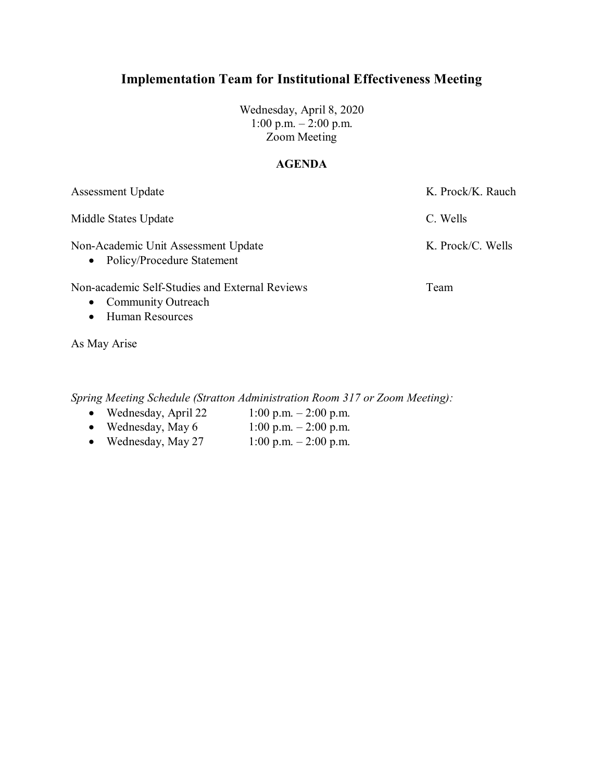Wednesday, April 8, 2020 1:00 p.m. – 2:00 p.m. Zoom Meeting

### **AGENDA**

| <b>Assessment Update</b>                                                                 | K. Prock/K. Rauch |
|------------------------------------------------------------------------------------------|-------------------|
| Middle States Update                                                                     | C. Wells          |
| Non-Academic Unit Assessment Update<br>• Policy/Procedure Statement                      | K. Prock/C. Wells |
| Non-academic Self-Studies and External Reviews<br><b>Community Outreach</b><br>$\bullet$ | Team              |

As May Arise

• Human Resources

*Spring Meeting Schedule (Stratton Administration Room 317 or Zoom Meeting):*

- Wednesday, April 22  $1:00 \text{ p.m.} 2:00 \text{ p.m.}$
- Wednesday, May  $6$  1:00 p.m. 2:00 p.m.
- Wednesday, May 27  $1:00 \text{ p.m.} 2:00 \text{ p.m.}$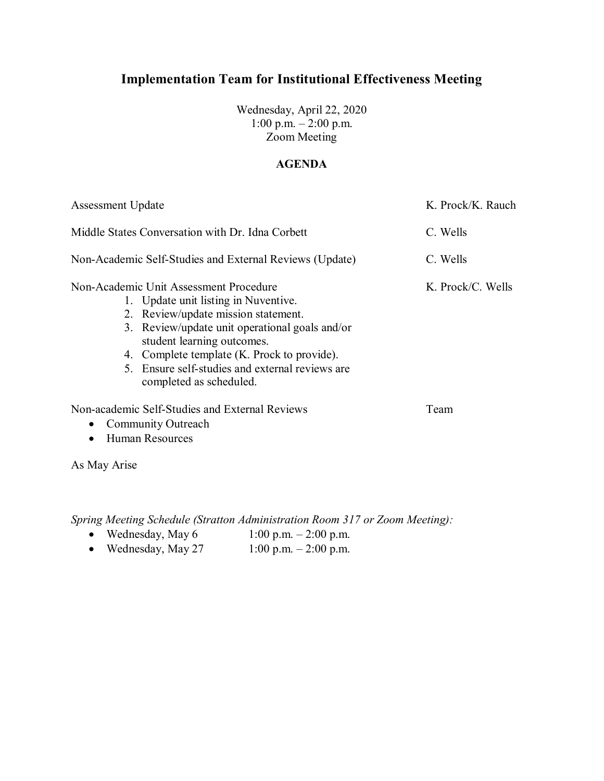Wednesday, April 22, 2020 1:00 p.m. – 2:00 p.m. Zoom Meeting

### **AGENDA**

| <b>Assessment Update</b><br>Middle States Conversation with Dr. Idna Corbett<br>Non-Academic Self-Studies and External Reviews (Update) |                                                                              | K. Prock/K. Rauch    |                                        |
|-----------------------------------------------------------------------------------------------------------------------------------------|------------------------------------------------------------------------------|----------------------|----------------------------------------|
|                                                                                                                                         |                                                                              | C. Wells<br>C. Wells |                                        |
|                                                                                                                                         |                                                                              |                      | Non-Academic Unit Assessment Procedure |
|                                                                                                                                         | 1. Update unit listing in Nuventive.                                         |                      |                                        |
|                                                                                                                                         | 2. Review/update mission statement.                                          |                      |                                        |
|                                                                                                                                         | 3. Review/update unit operational goals and/or<br>student learning outcomes. |                      |                                        |
|                                                                                                                                         | 4. Complete template (K. Prock to provide).                                  |                      |                                        |
|                                                                                                                                         | 5. Ensure self-studies and external reviews are<br>completed as scheduled.   |                      |                                        |
|                                                                                                                                         | Non-academic Self-Studies and External Reviews                               | Team                 |                                        |
| $\bullet$                                                                                                                               | <b>Community Outreach</b>                                                    |                      |                                        |
|                                                                                                                                         | <b>Human Resources</b>                                                       |                      |                                        |

As May Arise

*Spring Meeting Schedule (Stratton Administration Room 317 or Zoom Meeting):* 

- Wednesday, May  $6$  1:00 p.m. 2:00 p.m.
- Wednesday, May 27  $1:00 \text{ p.m.} 2:00 \text{ p.m.}$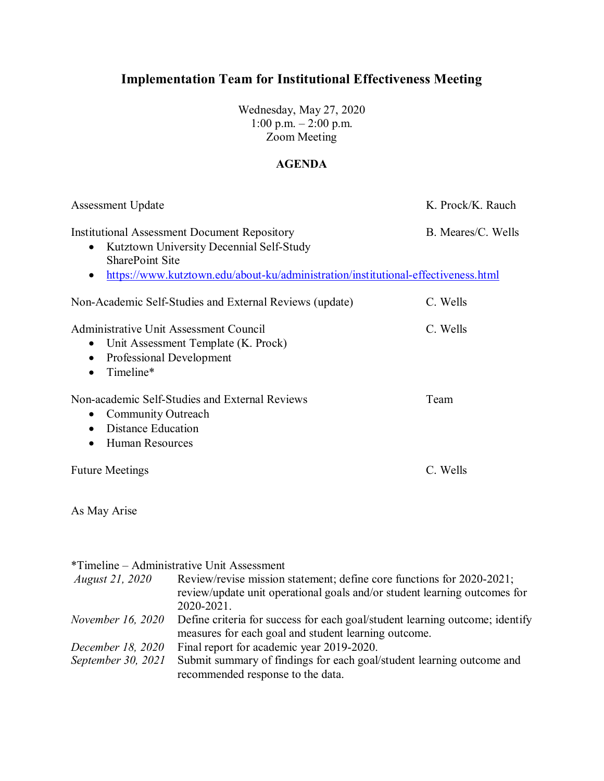Wednesday, May 27, 2020 1:00 p.m. – 2:00 p.m. Zoom Meeting

### **AGENDA**

| <b>Assessment Update</b>                                                                                                                                                                                                    | K. Prock/K. Rauch  |  |
|-----------------------------------------------------------------------------------------------------------------------------------------------------------------------------------------------------------------------------|--------------------|--|
| <b>Institutional Assessment Document Repository</b><br>Kutztown University Decennial Self-Study<br>$\bullet$<br><b>SharePoint Site</b><br>https://www.kutztown.edu/about-ku/administration/institutional-effectiveness.html | B. Meares/C. Wells |  |
| Non-Academic Self-Studies and External Reviews (update)                                                                                                                                                                     | C. Wells           |  |
| <b>Administrative Unit Assessment Council</b><br>• Unit Assessment Template (K. Prock)<br>Professional Development<br>Timeline*                                                                                             | C. Wells           |  |
| Non-academic Self-Studies and External Reviews<br>• Community Outreach<br>• Distance Education<br><b>Human Resources</b>                                                                                                    | Team               |  |
| Future Meetings                                                                                                                                                                                                             | C. Wells           |  |

As May Arise

|                        | *Timeline – Administrative Unit Assessment                                                                                                                       |
|------------------------|------------------------------------------------------------------------------------------------------------------------------------------------------------------|
| <i>August 21, 2020</i> | Review/revise mission statement; define core functions for 2020-2021;<br>review/update unit operational goals and/or student learning outcomes for<br>2020-2021. |
| November 16, 2020      | Define criteria for success for each goal/student learning outcome; identify<br>measures for each goal and student learning outcome.                             |
| December 18, 2020      | Final report for academic year 2019-2020.                                                                                                                        |
| September 30, 2021     | Submit summary of findings for each goal/student learning outcome and                                                                                            |
|                        | recommended response to the data.                                                                                                                                |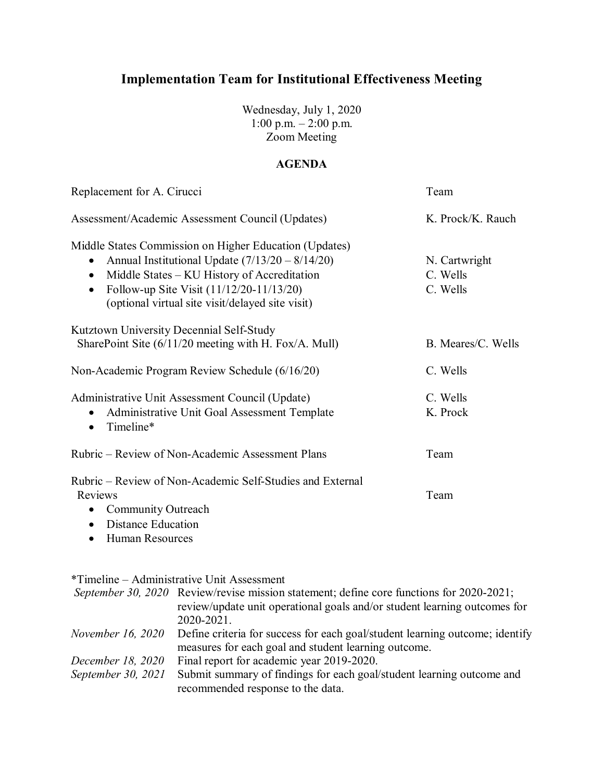Wednesday, July 1, 2020 1:00 p.m. – 2:00 p.m. Zoom Meeting

### **AGENDA**

| Replacement for A. Cirucci                                             | Team               |  |
|------------------------------------------------------------------------|--------------------|--|
| Assessment/Academic Assessment Council (Updates)                       | K. Prock/K. Rauch  |  |
| Middle States Commission on Higher Education (Updates)                 |                    |  |
| Annual Institutional Update $(7/13/20 - 8/14/20)$                      | N. Cartwright      |  |
| Middle States - KU History of Accreditation<br>$\bullet$               | C. Wells           |  |
| Follow-up Site Visit (11/12/20-11/13/20)<br>$\bullet$                  | C. Wells           |  |
| (optional virtual site visit/delayed site visit)                       |                    |  |
| Kutztown University Decennial Self-Study                               |                    |  |
| SharePoint Site $(6/11/20$ meeting with H. Fox/A. Mull)                | B. Meares/C. Wells |  |
| Non-Academic Program Review Schedule (6/16/20)                         | C. Wells           |  |
| Administrative Unit Assessment Council (Update)                        | C. Wells           |  |
| Administrative Unit Goal Assessment Template<br>Timeline*<br>$\bullet$ | K. Prock           |  |
|                                                                        |                    |  |
| Rubric – Review of Non-Academic Assessment Plans                       | Team               |  |
| Rubric – Review of Non-Academic Self-Studies and External              |                    |  |
| Reviews                                                                | Team               |  |
| Community Outreach                                                     |                    |  |
| <b>Distance Education</b><br>$\bullet$                                 |                    |  |

• Human Resources

\*Timeline – Administrative Unit Assessment

|                          | <i>September 30, 2020</i> Review/revise mission statement; define core functions for 2020-2021; |
|--------------------------|-------------------------------------------------------------------------------------------------|
|                          | review/update unit operational goals and/or student learning outcomes for                       |
|                          | 2020-2021.                                                                                      |
| <i>November 16, 2020</i> | Define criteria for success for each goal/student learning outcome; identify                    |
|                          | measures for each goal and student learning outcome.                                            |
| December 18, 2020        | Final report for academic year 2019-2020.                                                       |
| September 30, 2021       | Submit summary of findings for each goal/student learning outcome and                           |
|                          | recommended response to the data.                                                               |